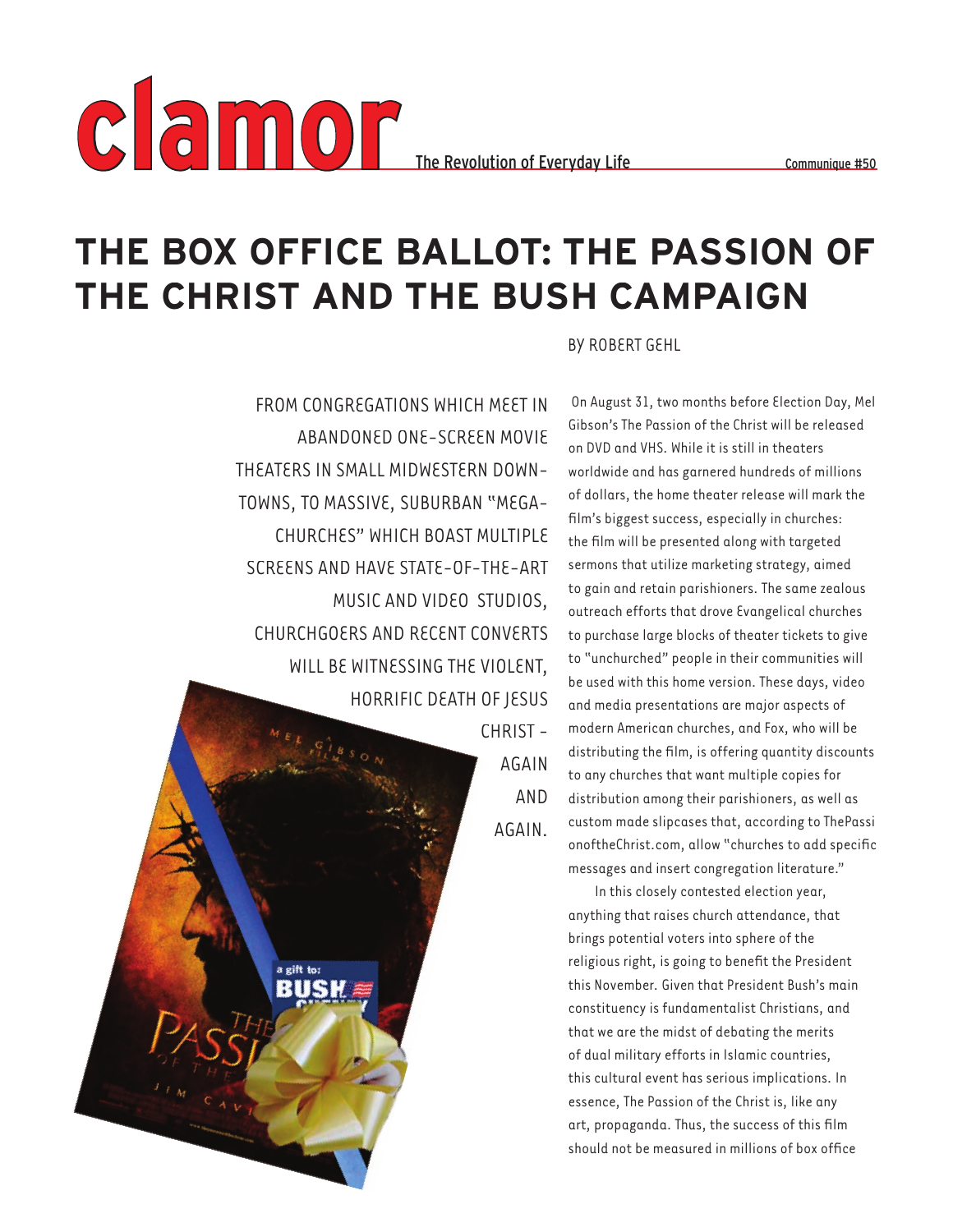

## **THE BOX OFFICE BALLOT: THE PASSION OF THE CHRIST AND THE BUSH CAMPAIGN**

FROM CONGREGATIONS WHICH MEET IN ABANDONED ONE-SCREEN MOVIE THEATERS IN SMALL MIDWESTERN DOWN-TOWNS, TO MASSIVE, SUBURBAN "MEGA-CHURCHES" WHICH BOAST MULTIPLE SCREENS AND HAVE STATE-OF-THE-ART MUSIC AND VIDEO STUDIOS, CHURCHGOERS AND RECENT CONVERTS WILL BE WITNESSING THE VIOLENT, HORRIFIC DEATH OF JESUS

> a gift to: BUSK

CHRIST - AGAIN AND AGAIN.

BY ROBERT GEHL

 On August 31, two months before Election Day, Mel Gibson's The Passion of the Christ will be released on DVD and VHS. While it is still in theaters worldwide and has garnered hundreds of millions of dollars, the home theater release will mark the film's biggest success, especially in churches: the film will be presented along with targeted sermons that utilize marketing strategy, aimed to gain and retain parishioners. The same zealous outreach efforts that drove Evangelical churches to purchase large blocks of theater tickets to give to "unchurched" people in their communities will be used with this home version. These days, video and media presentations are major aspects of modern American churches, and Fox, who will be distributing the film, is offering quantity discounts to any churches that want multiple copies for distribution among their parishioners, as well as custom made slipcases that, according to ThePassi onoftheChrist.com, allow "churches to add specific messages and insert congregation literature."

In this closely contested election year, anything that raises church attendance, that brings potential voters into sphere of the religious right, is going to benefit the President this November. Given that President Bush's main constituency is fundamentalist Christians, and that we are the midst of debating the merits of dual military efforts in Islamic countries, this cultural event has serious implications. In essence, The Passion of the Christ is, like any art, propaganda. Thus, the success of this film should not be measured in millions of box office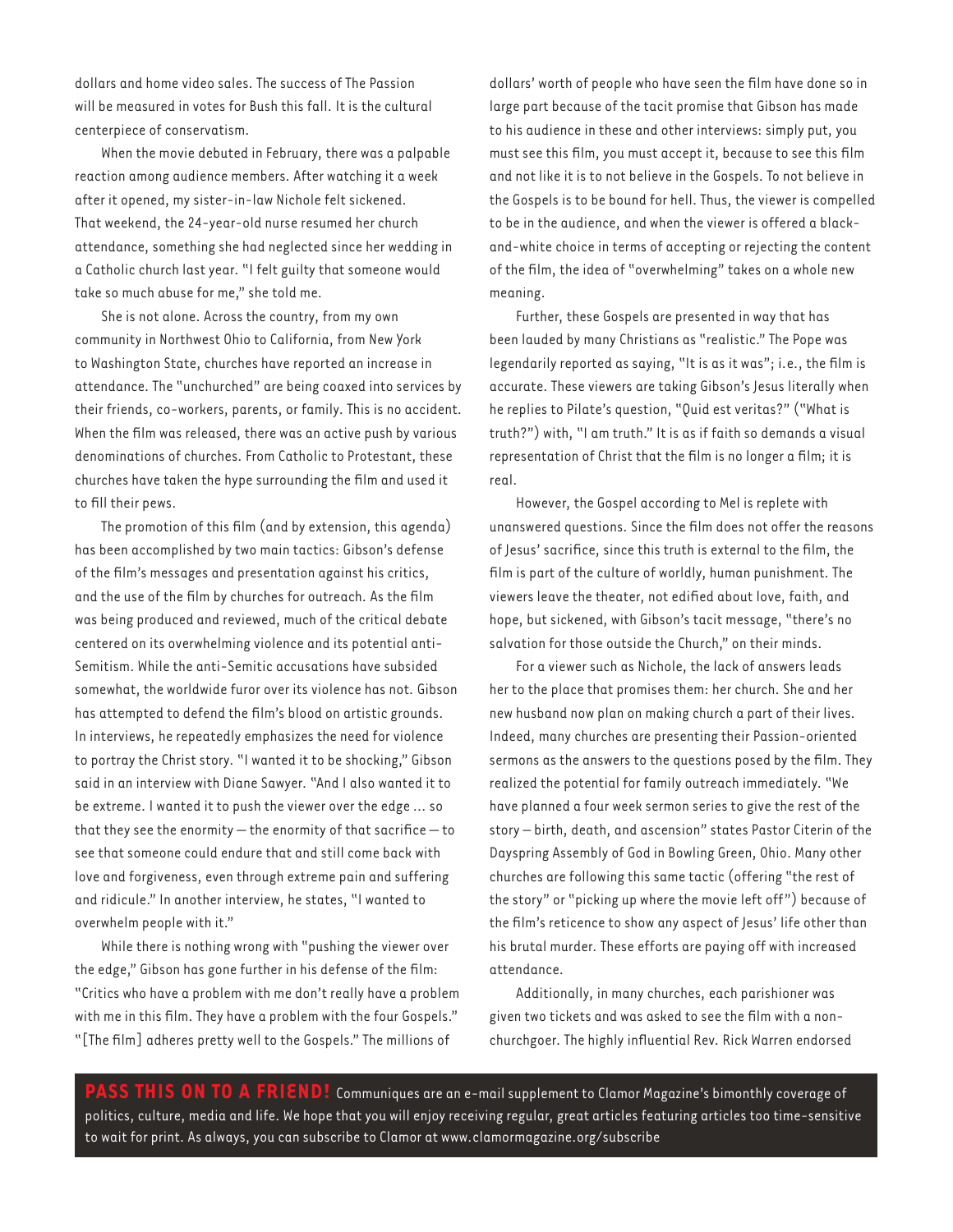dollars and home video sales. The success of The Passion will be measured in votes for Bush this fall. It is the cultural centerpiece of conservatism.

When the movie debuted in February, there was a palpable reaction among audience members. After watching it a week after it opened, my sister-in-law Nichole felt sickened. That weekend, the 24-year-old nurse resumed her church attendance, something she had neglected since her wedding in a Catholic church last year. "I felt guilty that someone would take so much abuse for me," she told me.

She is not alone. Across the country, from my own community in Northwest Ohio to California, from New York to Washington State, churches have reported an increase in attendance. The "unchurched" are being coaxed into services by their friends, co-workers, parents, or family. This is no accident. When the film was released, there was an active push by various denominations of churches. From Catholic to Protestant, these churches have taken the hype surrounding the film and used it to fill their pews.

The promotion of this film (and by extension, this agenda) has been accomplished by two main tactics: Gibson's defense of the film's messages and presentation against his critics, and the use of the film by churches for outreach. As the film was being produced and reviewed, much of the critical debate centered on its overwhelming violence and its potential anti-Semitism. While the anti-Semitic accusations have subsided somewhat, the worldwide furor over its violence has not. Gibson has attempted to defend the film's blood on artistic grounds. In interviews, he repeatedly emphasizes the need for violence to portray the Christ story. "I wanted it to be shocking," Gibson said in an interview with Diane Sawyer. "And I also wanted it to be extreme. I wanted it to push the viewer over the edge … so that they see the enormity  $-$  the enormity of that sacrifice  $-$  to see that someone could endure that and still come back with love and forgiveness, even through extreme pain and suffering and ridicule." In another interview, he states, "I wanted to overwhelm people with it."

While there is nothing wrong with "pushing the viewer over the edge," Gibson has gone further in his defense of the film: "Critics who have a problem with me don't really have a problem with me in this film. They have a problem with the four Gospels." "[The film] adheres pretty well to the Gospels." The millions of

dollars' worth of people who have seen the film have done so in large part because of the tacit promise that Gibson has made to his audience in these and other interviews: simply put, you must see this film, you must accept it, because to see this film and not like it is to not believe in the Gospels. To not believe in the Gospels is to be bound for hell. Thus, the viewer is compelled to be in the audience, and when the viewer is offered a blackand-white choice in terms of accepting or rejecting the content of the film, the idea of "overwhelming" takes on a whole new meaning.

Further, these Gospels are presented in way that has been lauded by many Christians as "realistic." The Pope was legendarily reported as saying, "It is as it was"; i.e., the film is accurate. These viewers are taking Gibson's Jesus literally when he replies to Pilate's question, "Quid est veritas?" ("What is truth?") with, "I am truth." It is as if faith so demands a visual representation of Christ that the film is no longer a film; it is real.

However, the Gospel according to Mel is replete with unanswered questions. Since the film does not offer the reasons of Jesus' sacrifice, since this truth is external to the film, the film is part of the culture of worldly, human punishment. The viewers leave the theater, not edified about love, faith, and hope, but sickened, with Gibson's tacit message, "there's no salvation for those outside the Church," on their minds.

For a viewer such as Nichole, the lack of answers leads her to the place that promises them: her church. She and her new husband now plan on making church a part of their lives. Indeed, many churches are presenting their Passion-oriented sermons as the answers to the questions posed by the film. They realized the potential for family outreach immediately. "We have planned a four week sermon series to give the rest of the story – birth, death, and ascension" states Pastor Citerin of the Dayspring Assembly of God in Bowling Green, Ohio. Many other churches are following this same tactic (offering "the rest of the story" or "picking up where the movie left off") because of the film's reticence to show any aspect of Jesus' life other than his brutal murder. These efforts are paying off with increased attendance.

Additionally, in many churches, each parishioner was given two tickets and was asked to see the film with a nonchurchgoer. The highly influential Rev. Rick Warren endorsed

**PASS THIS ON TO A FRIEND!** Communiques are an e-mail supplement to Clamor Magazine's bimonthly coverage of politics, culture, media and life. We hope that you will enjoy receiving regular, great articles featuring articles too time-sensitive to wait for print. As always, you can subscribe to Clamor at www.clamormagazine.org/subscribe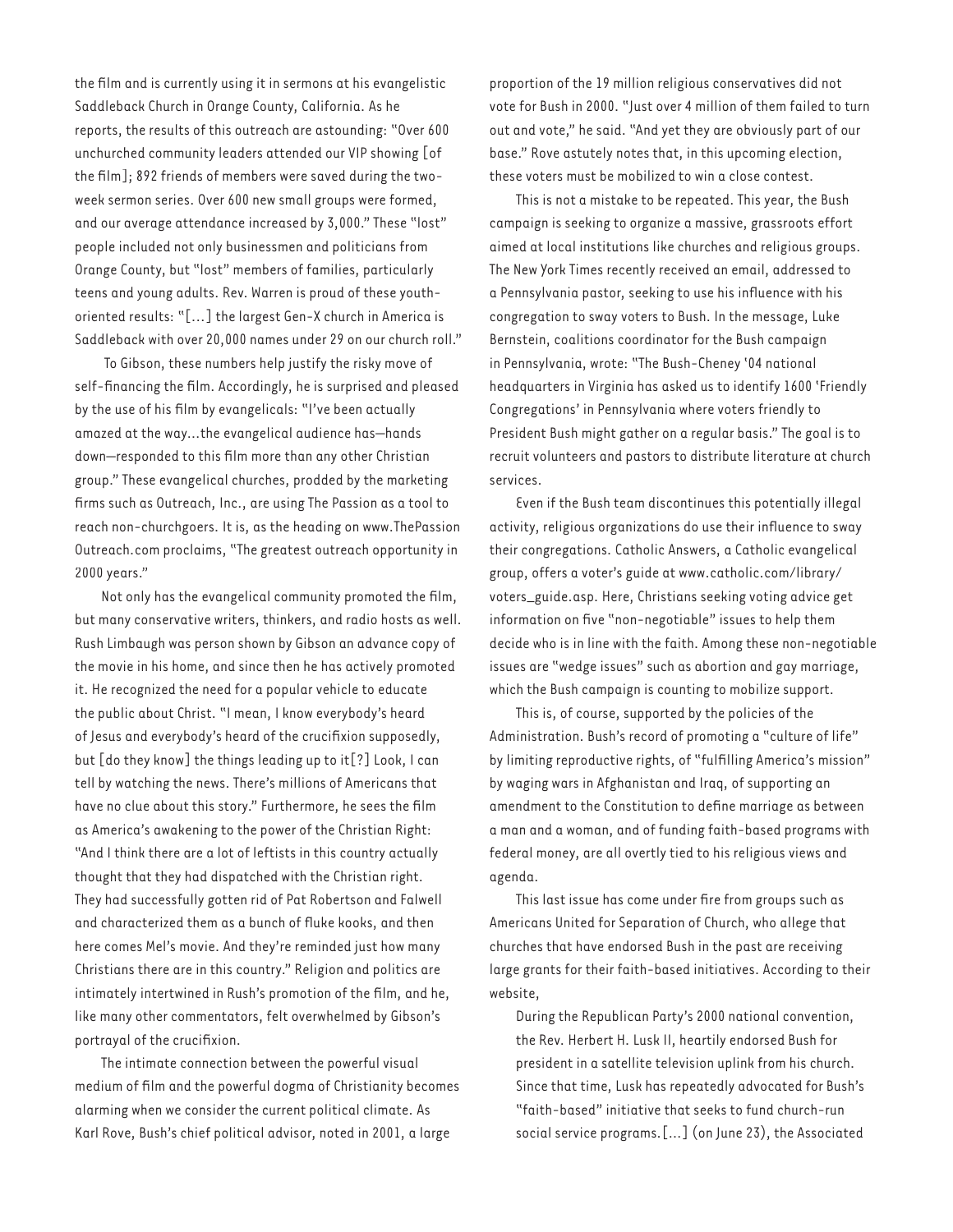the film and is currently using it in sermons at his evangelistic Saddleback Church in Orange County, California. As he reports, the results of this outreach are astounding: "Over 600 unchurched community leaders attended our VIP showing [of the film]; 892 friends of members were saved during the twoweek sermon series. Over 600 new small groups were formed, and our average attendance increased by 3,000." These "lost" people included not only businessmen and politicians from Orange County, but "lost" members of families, particularly teens and young adults. Rev. Warren is proud of these youthoriented results: "[...] the largest Gen-X church in America is Saddleback with over 20,000 names under 29 on our church roll."

 To Gibson, these numbers help justify the risky move of self-financing the film. Accordingly, he is surprised and pleased by the use of his film by evangelicals: "I've been actually amazed at the way…the evangelical audience has—hands down-responded to this film more than any other Christian group." These evangelical churches, prodded by the marketing firms such as Outreach, Inc., are using The Passion as a tool to reach non-churchgoers. It is, as the heading on www.ThePassion Outreach.com proclaims, "The greatest outreach opportunity in 2000 years."

Not only has the evangelical community promoted the film, but many conservative writers, thinkers, and radio hosts as well. Rush Limbaugh was person shown by Gibson an advance copy of the movie in his home, and since then he has actively promoted it. He recognized the need for a popular vehicle to educate the public about Christ. "I mean, I know everybody's heard of Jesus and everybody's heard of the crucifixion supposedly, but [do they know] the things leading up to it[?] Look, I can tell by watching the news. There's millions of Americans that have no clue about this story." Furthermore, he sees the film as America's awakening to the power of the Christian Right: "And I think there are a lot of leftists in this country actually thought that they had dispatched with the Christian right. They had successfully gotten rid of Pat Robertson and Falwell and characterized them as a bunch of fluke kooks, and then here comes Mel's movie. And they're reminded just how many Christians there are in this country." Religion and politics are intimately intertwined in Rush's promotion of the film, and he, like many other commentators, felt overwhelmed by Gibson's portrayal of the crucifixion.

The intimate connection between the powerful visual medium of film and the powerful dogma of Christianity becomes alarming when we consider the current political climate. As Karl Rove, Bush's chief political advisor, noted in 2001, a large

proportion of the 19 million religious conservatives did not vote for Bush in 2000. "Just over 4 million of them failed to turn out and vote," he said. "And yet they are obviously part of our base." Rove astutely notes that, in this upcoming election, these voters must be mobilized to win a close contest.

This is not a mistake to be repeated. This year, the Bush campaign is seeking to organize a massive, grassroots effort aimed at local institutions like churches and religious groups. The New York Times recently received an email, addressed to a Pennsylvania pastor, seeking to use his influence with his congregation to sway voters to Bush. In the message, Luke Bernstein, coalitions coordinator for the Bush campaign in Pennsylvania, wrote: "The Bush-Cheney '04 national headquarters in Virginia has asked us to identify 1600 'Friendly Congregations' in Pennsylvania where voters friendly to President Bush might gather on a regular basis." The goal is to recruit volunteers and pastors to distribute literature at church services.

Even if the Bush team discontinues this potentially illegal activity, religious organizations do use their influence to sway their congregations. Catholic Answers, a Catholic evangelical group, offers a voter's guide at www.catholic.com/library/ voters\_guide.asp. Here, Christians seeking voting advice get information on five "non-negotiable" issues to help them decide who is in line with the faith. Among these non-negotiable issues are "wedge issues" such as abortion and gay marriage, which the Bush campaign is counting to mobilize support.

This is, of course, supported by the policies of the Administration. Bush's record of promoting a "culture of life" by limiting reproductive rights, of "fulfilling America's mission" by waging wars in Afghanistan and Iraq, of supporting an amendment to the Constitution to define marriage as between a man and a woman, and of funding faith-based programs with federal money, are all overtly tied to his religious views and agenda.

This last issue has come under fire from groups such as Americans United for Separation of Church, who allege that churches that have endorsed Bush in the past are receiving large grants for their faith-based initiatives. According to their website,

During the Republican Party's 2000 national convention, the Rev. Herbert H. Lusk II, heartily endorsed Bush for president in a satellite television uplink from his church. Since that time, Lusk has repeatedly advocated for Bush's "faith-based" initiative that seeks to fund church-run social service programs.[…] (on June 23), the Associated